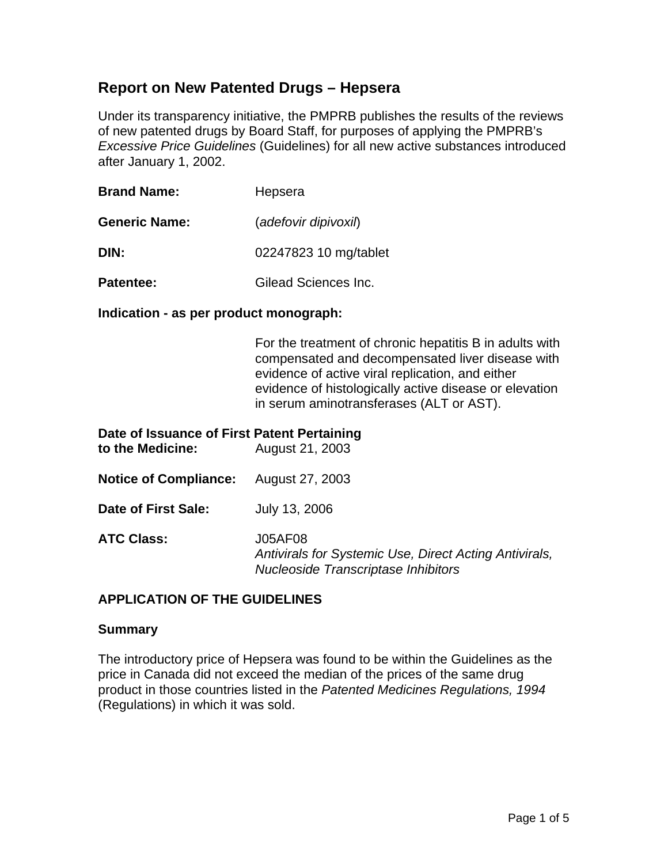# **Report on New Patented Drugs – Hepsera**

Under its transparency initiative, the PMPRB publishes the results of the reviews of new patented drugs by Board Staff, for purposes of applying the PMPRB's *Excessive Price Guidelines* (Guidelines) for all new active substances introduced after January 1, 2002.

| <b>Brand Name:</b>   | Hepsera               |
|----------------------|-----------------------|
| <b>Generic Name:</b> | (adefovir dipivoxil)  |
| DIN:                 | 02247823 10 mg/tablet |
| Patentee:            | Gilead Sciences Inc.  |

**Indication - as per product monograph:**

For the treatment of chronic hepatitis B in adults with compensated and decompensated liver disease with evidence of active viral replication, and either evidence of histologically active disease or elevation in serum aminotransferases (ALT or AST).

| Date of Issuance of First Patent Pertaining<br>to the Medicine: | August 21, 2003                                                                                                        |
|-----------------------------------------------------------------|------------------------------------------------------------------------------------------------------------------------|
| <b>Notice of Compliance:</b> August 27, 2003                    |                                                                                                                        |
| Date of First Sale:                                             | July 13, 2006                                                                                                          |
| <b>ATC Class:</b>                                               | <b>J05AF08</b><br>Antivirals for Systemic Use, Direct Acting Antivirals,<br><b>Nucleoside Transcriptase Inhibitors</b> |

### **APPLICATION OF THE GUIDELINES**

#### **Summary**

The introductory price of Hepsera was found to be within the Guidelines as the price in Canada did not exceed the median of the prices of the same drug product in those countries listed in the *Patented Medicines Regulations, 1994* (Regulations) in which it was sold.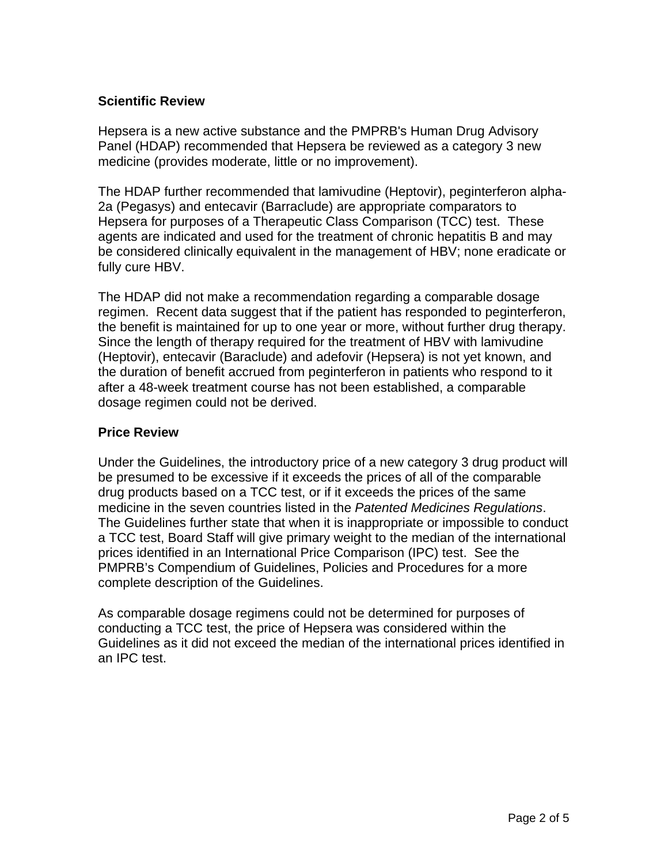# **Scientific Review**

Hepsera is a new active substance and the PMPRB's Human Drug Advisory Panel (HDAP) recommended that Hepsera be reviewed as a category 3 new medicine (provides moderate, little or no improvement).

The HDAP further recommended that lamivudine (Heptovir), peginterferon alpha-2a (Pegasys) and entecavir (Barraclude) are appropriate comparators to Hepsera for purposes of a Therapeutic Class Comparison (TCC) test. These agents are indicated and used for the treatment of chronic hepatitis B and may be considered clinically equivalent in the management of HBV; none eradicate or fully cure HBV.

The HDAP did not make a recommendation regarding a comparable dosage regimen. Recent data suggest that if the patient has responded to peginterferon, the benefit is maintained for up to one year or more, without further drug therapy. Since the length of therapy required for the treatment of HBV with lamivudine (Heptovir), entecavir (Baraclude) and adefovir (Hepsera) is not yet known, and the duration of benefit accrued from peginterferon in patients who respond to it after a 48-week treatment course has not been established, a comparable dosage regimen could not be derived.

### **Price Review**

Under the Guidelines, the introductory price of a new category 3 drug product will be presumed to be excessive if it exceeds the prices of all of the comparable drug products based on a TCC test, or if it exceeds the prices of the same medicine in the seven countries listed in the *Patented Medicines Regulations*. The Guidelines further state that when it is inappropriate or impossible to conduct a TCC test, Board Staff will give primary weight to the median of the international prices identified in an International Price Comparison (IPC) test. See the PMPRB's Compendium of Guidelines, Policies and Procedures for a more complete description of the Guidelines.

As comparable dosage regimens could not be determined for purposes of conducting a TCC test, the price of Hepsera was considered within the Guidelines as it did not exceed the median of the international prices identified in an IPC test.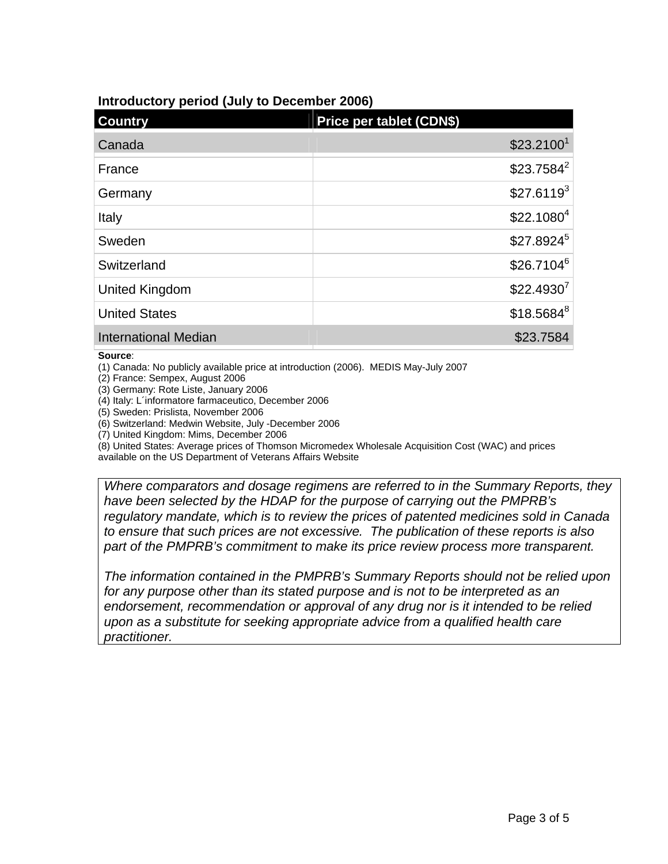#### **Introductory period (July to December 2006)**

| <b>Country</b>              | <b>Price per tablet (CDN\$)</b> |
|-----------------------------|---------------------------------|
| Canada                      | \$23.2100 <sup>1</sup>          |
| France                      | $$23.7584^2$                    |
| Germany                     | \$27.6119 <sup>3</sup>          |
| Italy                       | \$22.1080 <sup>4</sup>          |
| Sweden                      | \$27.8924 <sup>5</sup>          |
| Switzerland                 | $$26.7104^6$                    |
| United Kingdom              | $$22.4930^7$                    |
| <b>United States</b>        | $$18.5684^8$                    |
| <b>International Median</b> | \$23.7584                       |

#### **Source**:

(1) Canada: No publicly available price at introduction (2006). MEDIS May-July 2007

(2) France: Sempex, August 2006

(3) Germany: Rote Liste, January 2006

(4) Italy: L´informatore farmaceutico, December 2006

(5) Sweden: Prislista, November 2006

(6) Switzerland: Medwin Website, July -December 2006

(7) United Kingdom: Mims, December 2006

(8) United States: Average prices of Thomson Micromedex Wholesale Acquisition Cost (WAC) and prices

available on the US Department of Veterans Affairs Website

*Where comparators and dosage regimens are referred to in the Summary Reports, they have been selected by the HDAP for the purpose of carrying out the PMPRB's regulatory mandate, which is to review the prices of patented medicines sold in Canada to ensure that such prices are not excessive. The publication of these reports is also part of the PMPRB's commitment to make its price review process more transparent.* 

*The information contained in the PMPRB's Summary Reports should not be relied upon for any purpose other than its stated purpose and is not to be interpreted as an*  endorsement, recommendation or approval of any drug nor is it intended to be relied *upon as a substitute for seeking appropriate advice from a qualified health care practitioner.*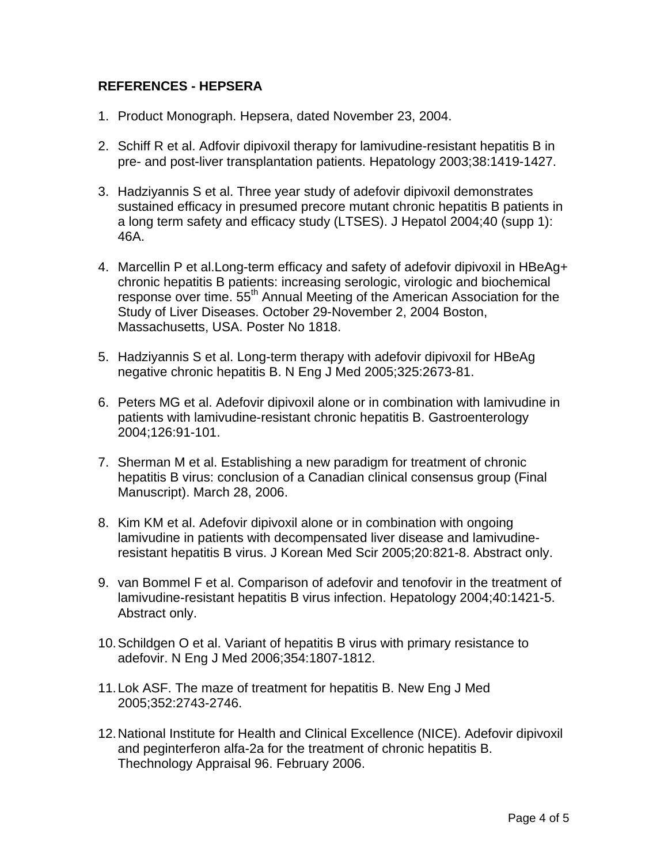## **REFERENCES - HEPSERA**

- 1. Product Monograph. Hepsera, dated November 23, 2004.
- 2. Schiff R et al. Adfovir dipivoxil therapy for lamivudine-resistant hepatitis B in pre- and post-liver transplantation patients. Hepatology 2003;38:1419-1427.
- 3. Hadziyannis S et al. Three year study of adefovir dipivoxil demonstrates sustained efficacy in presumed precore mutant chronic hepatitis B patients in a long term safety and efficacy study (LTSES). J Hepatol 2004;40 (supp 1): 46A.
- 4. Marcellin P et al.Long-term efficacy and safety of adefovir dipivoxil in HBeAg+ chronic hepatitis B patients: increasing serologic, virologic and biochemical response over time. 55<sup>th</sup> Annual Meeting of the American Association for the Study of Liver Diseases. October 29-November 2, 2004 Boston, Massachusetts, USA. Poster No 1818.
- 5. Hadziyannis S et al. Long-term therapy with adefovir dipivoxil for HBeAg negative chronic hepatitis B. N Eng J Med 2005;325:2673-81.
- 6. Peters MG et al. Adefovir dipivoxil alone or in combination with lamivudine in patients with lamivudine-resistant chronic hepatitis B. Gastroenterology 2004;126:91-101.
- 7. Sherman M et al. Establishing a new paradigm for treatment of chronic hepatitis B virus: conclusion of a Canadian clinical consensus group (Final Manuscript). March 28, 2006.
- 8. Kim KM et al. Adefovir dipivoxil alone or in combination with ongoing lamivudine in patients with decompensated liver disease and lamivudineresistant hepatitis B virus. J Korean Med Scir 2005;20:821-8. Abstract only.
- 9. van Bommel F et al. Comparison of adefovir and tenofovir in the treatment of lamivudine-resistant hepatitis B virus infection. Hepatology 2004;40:1421-5. Abstract only.
- 10. Schildgen O et al. Variant of hepatitis B virus with primary resistance to adefovir. N Eng J Med 2006;354:1807-1812.
- 11. Lok ASF. The maze of treatment for hepatitis B. New Eng J Med 2005;352:2743-2746.
- 12. National Institute for Health and Clinical Excellence (NICE). Adefovir dipivoxil and peginterferon alfa-2a for the treatment of chronic hepatitis B. Thechnology Appraisal 96. February 2006.